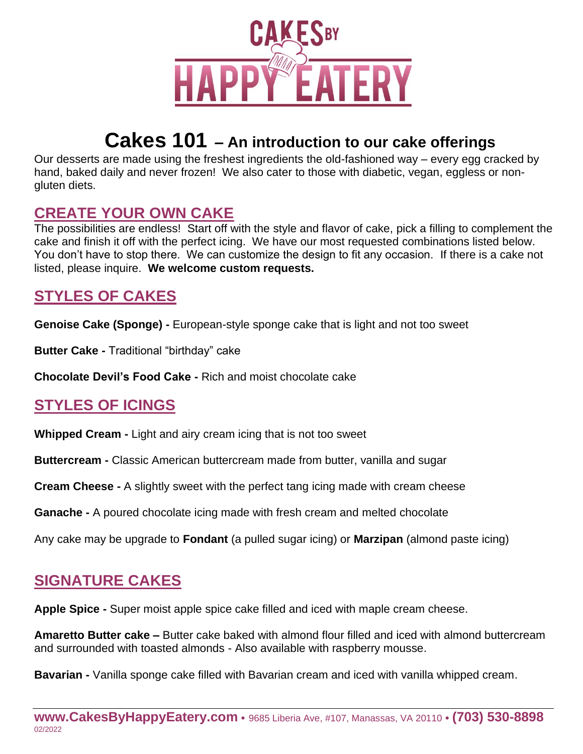

# **Cakes 101 – An introduction to our cake offerings**

Our desserts are made using the freshest ingredients the old-fashioned way – every egg cracked by hand, baked daily and never frozen! We also cater to those with diabetic, vegan, eggless or nongluten diets.

#### **CREATE YOUR OWN CAKE**

The possibilities are endless! Start off with the style and flavor of cake, pick a filling to complement the cake and finish it off with the perfect icing. We have our most requested combinations listed below. You don't have to stop there. We can customize the design to fit any occasion. If there is a cake not listed, please inquire. **We welcome custom requests.**

## **STYLES OF CAKES**

**Genoise Cake (Sponge) -** European-style sponge cake that is light and not too sweet

**Butter Cake -** Traditional "birthday" cake

**Chocolate Devil's Food Cake -** Rich and moist chocolate cake

## **STYLES OF ICINGS**

**Whipped Cream -** Light and airy cream icing that is not too sweet

**Buttercream -** Classic American buttercream made from butter, vanilla and sugar

**Cream Cheese -** A slightly sweet with the perfect tang icing made with cream cheese

**Ganache -** A poured chocolate icing made with fresh cream and melted chocolate

Any cake may be upgrade to **Fondant** (a pulled sugar icing) or **Marzipan** (almond paste icing)

#### **SIGNATURE CAKES**

**Apple Spice -** Super moist apple spice cake filled and iced with maple cream cheese.

**Amaretto Butter cake –** Butter cake baked with almond flour filled and iced with almond buttercream and surrounded with toasted almonds - Also available with raspberry mousse.

**Bavarian -** Vanilla sponge cake filled with Bavarian cream and iced with vanilla whipped cream.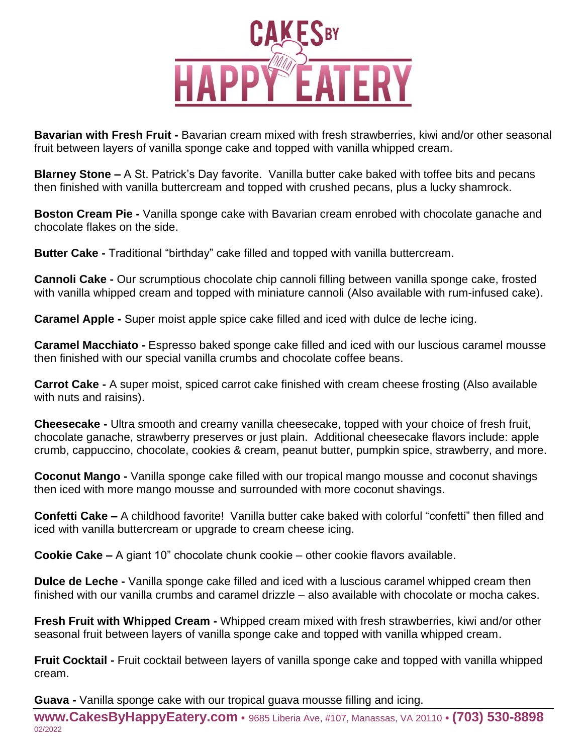

**Bavarian with Fresh Fruit -** Bavarian cream mixed with fresh strawberries, kiwi and/or other seasonal fruit between layers of vanilla sponge cake and topped with vanilla whipped cream.

**Blarney Stone –** A St. Patrick's Day favorite. Vanilla butter cake baked with toffee bits and pecans then finished with vanilla buttercream and topped with crushed pecans, plus a lucky shamrock.

**Boston Cream Pie -** Vanilla sponge cake with Bavarian cream enrobed with chocolate ganache and chocolate flakes on the side.

**Butter Cake -** Traditional "birthday" cake filled and topped with vanilla buttercream.

**Cannoli Cake -** Our scrumptious chocolate chip cannoli filling between vanilla sponge cake, frosted with vanilla whipped cream and topped with miniature cannoli (Also available with rum-infused cake).

**Caramel Apple -** Super moist apple spice cake filled and iced with dulce de leche icing.

**Caramel Macchiato -** Espresso baked sponge cake filled and iced with our luscious caramel mousse then finished with our special vanilla crumbs and chocolate coffee beans.

**Carrot Cake -** A super moist, spiced carrot cake finished with cream cheese frosting (Also available with nuts and raisins).

**Cheesecake -** Ultra smooth and creamy vanilla cheesecake, topped with your choice of fresh fruit, chocolate ganache, strawberry preserves or just plain. Additional cheesecake flavors include: apple crumb, cappuccino, chocolate, cookies & cream, peanut butter, pumpkin spice, strawberry, and more.

**Coconut Mango -** Vanilla sponge cake filled with our tropical mango mousse and coconut shavings then iced with more mango mousse and surrounded with more coconut shavings.

**Confetti Cake –** A childhood favorite! Vanilla butter cake baked with colorful "confetti" then filled and iced with vanilla buttercream or upgrade to cream cheese icing.

**Cookie Cake –** A giant 10" chocolate chunk cookie – other cookie flavors available.

**Dulce de Leche -** Vanilla sponge cake filled and iced with a luscious caramel whipped cream then finished with our vanilla crumbs and caramel drizzle – also available with chocolate or mocha cakes.

**Fresh Fruit with Whipped Cream -** Whipped cream mixed with fresh strawberries, kiwi and/or other seasonal fruit between layers of vanilla sponge cake and topped with vanilla whipped cream.

**Fruit Cocktail -** Fruit cocktail between layers of vanilla sponge cake and topped with vanilla whipped cream.

**Guava -** Vanilla sponge cake with our tropical guava mousse filling and icing.

**www.CakesByHappyEatery.com** • 9685 Liberia Ave, #107, Manassas, VA 20110 • **(703) 530-8898** 02/2022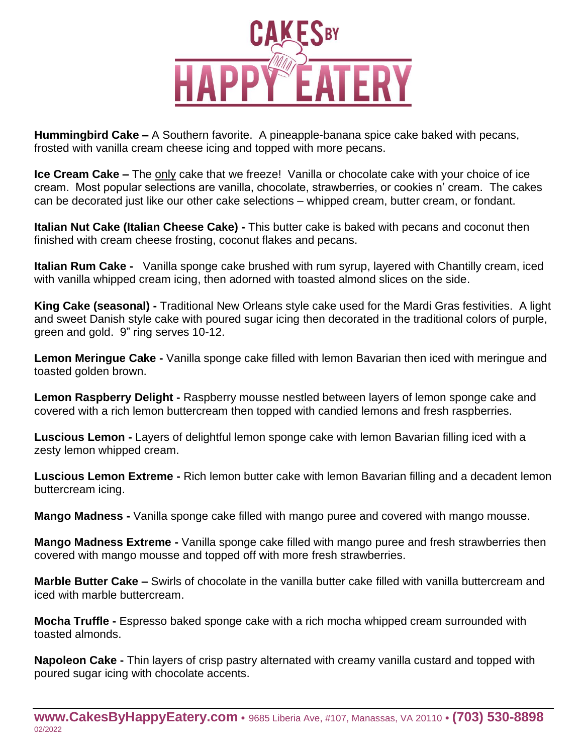

**Hummingbird Cake –** A Southern favorite. A pineapple-banana spice cake baked with pecans, frosted with vanilla cream cheese icing and topped with more pecans.

**Ice Cream Cake –** The only cake that we freeze! Vanilla or chocolate cake with your choice of ice cream. Most popular selections are vanilla, chocolate, strawberries, or cookies n' cream. The cakes can be decorated just like our other cake selections – whipped cream, butter cream, or fondant.

**Italian Nut Cake (Italian Cheese Cake) -** This butter cake is baked with pecans and coconut then finished with cream cheese frosting, coconut flakes and pecans.

**Italian Rum Cake -** Vanilla sponge cake brushed with rum syrup, layered with Chantilly cream, iced with vanilla whipped cream icing, then adorned with toasted almond slices on the side.

**King Cake (seasonal) -** Traditional New Orleans style cake used for the Mardi Gras festivities. A light and sweet Danish style cake with poured sugar icing then decorated in the traditional colors of purple, green and gold. 9" ring serves 10-12.

**Lemon Meringue Cake -** Vanilla sponge cake filled with lemon Bavarian then iced with meringue and toasted golden brown.

**Lemon Raspberry Delight -** Raspberry mousse nestled between layers of lemon sponge cake and covered with a rich lemon buttercream then topped with candied lemons and fresh raspberries.

**Luscious Lemon -** Layers of delightful lemon sponge cake with lemon Bavarian filling iced with a zesty lemon whipped cream.

**Luscious Lemon Extreme -** Rich lemon butter cake with lemon Bavarian filling and a decadent lemon buttercream icing.

**Mango Madness -** Vanilla sponge cake filled with mango puree and covered with mango mousse.

**Mango Madness Extreme -** Vanilla sponge cake filled with mango puree and fresh strawberries then covered with mango mousse and topped off with more fresh strawberries.

**Marble Butter Cake –** Swirls of chocolate in the vanilla butter cake filled with vanilla buttercream and iced with marble buttercream.

**Mocha Truffle -** Espresso baked sponge cake with a rich mocha whipped cream surrounded with toasted almonds.

**Napoleon Cake -** Thin layers of crisp pastry alternated with creamy vanilla custard and topped with poured sugar icing with chocolate accents.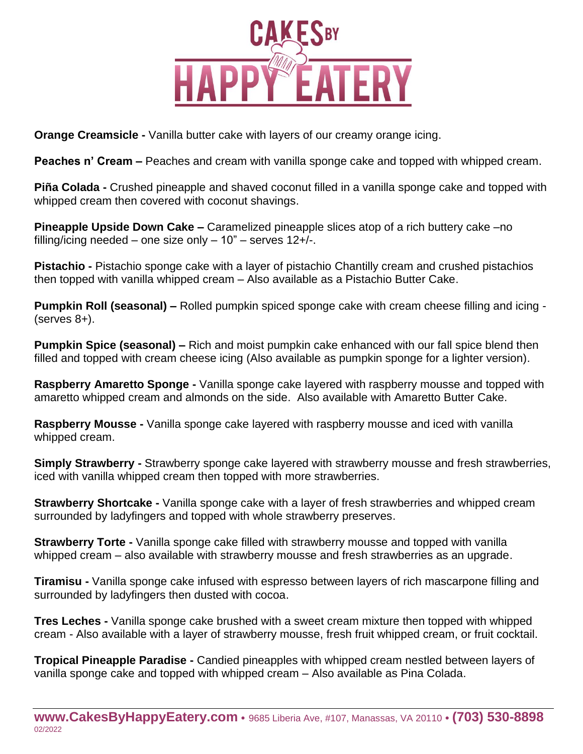

**Orange Creamsicle -** Vanilla butter cake with layers of our creamy orange icing.

**Peaches n' Cream –** Peaches and cream with vanilla sponge cake and topped with whipped cream.

**Piña Colada -** Crushed pineapple and shaved coconut filled in a vanilla sponge cake and topped with whipped cream then covered with coconut shavings.

**Pineapple Upside Down Cake –** Caramelized pineapple slices atop of a rich buttery cake –no filling/icing needed – one size only  $-10"$  – serves  $12+/$ .

**Pistachio -** Pistachio sponge cake with a layer of pistachio Chantilly cream and crushed pistachios then topped with vanilla whipped cream – Also available as a Pistachio Butter Cake.

**Pumpkin Roll (seasonal) –** Rolled pumpkin spiced sponge cake with cream cheese filling and icing - (serves 8+).

**Pumpkin Spice (seasonal) –** Rich and moist pumpkin cake enhanced with our fall spice blend then filled and topped with cream cheese icing (Also available as pumpkin sponge for a lighter version).

**Raspberry Amaretto Sponge -** Vanilla sponge cake layered with raspberry mousse and topped with amaretto whipped cream and almonds on the side. Also available with Amaretto Butter Cake.

**Raspberry Mousse -** Vanilla sponge cake layered with raspberry mousse and iced with vanilla whipped cream.

**Simply Strawberry -** Strawberry sponge cake layered with strawberry mousse and fresh strawberries, iced with vanilla whipped cream then topped with more strawberries.

**Strawberry Shortcake -** Vanilla sponge cake with a layer of fresh strawberries and whipped cream surrounded by ladyfingers and topped with whole strawberry preserves.

**Strawberry Torte -** Vanilla sponge cake filled with strawberry mousse and topped with vanilla whipped cream – also available with strawberry mousse and fresh strawberries as an upgrade.

**Tiramisu -** Vanilla sponge cake infused with espresso between layers of rich mascarpone filling and surrounded by ladyfingers then dusted with cocoa.

**Tres Leches -** Vanilla sponge cake brushed with a sweet cream mixture then topped with whipped cream - Also available with a layer of strawberry mousse, fresh fruit whipped cream, or fruit cocktail.

**Tropical Pineapple Paradise -** Candied pineapples with whipped cream nestled between layers of vanilla sponge cake and topped with whipped cream – Also available as Pina Colada.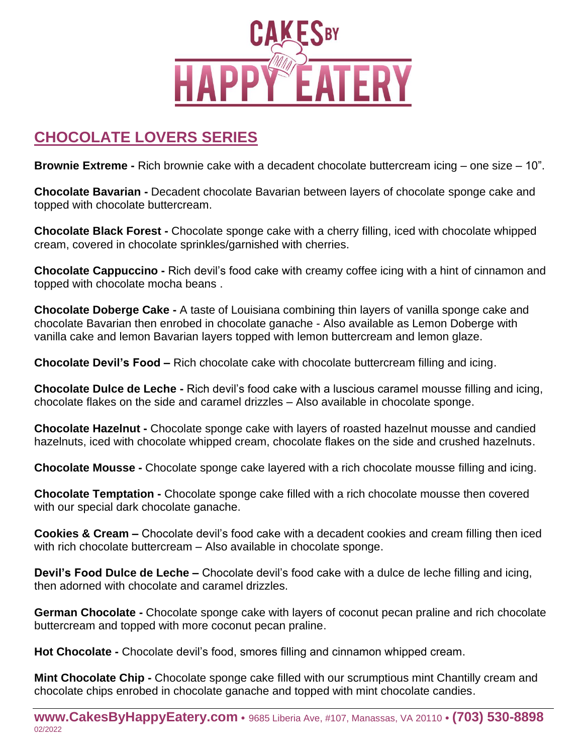

## **CHOCOLATE LOVERS SERIES**

**Brownie Extreme -** Rich brownie cake with a decadent chocolate buttercream icing – one size – 10".

**Chocolate Bavarian -** Decadent chocolate Bavarian between layers of chocolate sponge cake and topped with chocolate buttercream.

**Chocolate Black Forest -** Chocolate sponge cake with a cherry filling, iced with chocolate whipped cream, covered in chocolate sprinkles/garnished with cherries.

**Chocolate Cappuccino -** Rich devil's food cake with creamy coffee icing with a hint of cinnamon and topped with chocolate mocha beans .

**Chocolate Doberge Cake -** A taste of Louisiana combining thin layers of vanilla sponge cake and chocolate Bavarian then enrobed in chocolate ganache - Also available as Lemon Doberge with vanilla cake and lemon Bavarian layers topped with lemon buttercream and lemon glaze.

**Chocolate Devil's Food –** Rich chocolate cake with chocolate buttercream filling and icing.

**Chocolate Dulce de Leche -** Rich devil's food cake with a luscious caramel mousse filling and icing, chocolate flakes on the side and caramel drizzles – Also available in chocolate sponge.

**Chocolate Hazelnut -** Chocolate sponge cake with layers of roasted hazelnut mousse and candied hazelnuts, iced with chocolate whipped cream, chocolate flakes on the side and crushed hazelnuts.

**Chocolate Mousse -** Chocolate sponge cake layered with a rich chocolate mousse filling and icing.

**Chocolate Temptation -** Chocolate sponge cake filled with a rich chocolate mousse then covered with our special dark chocolate ganache.

**Cookies & Cream –** Chocolate devil's food cake with a decadent cookies and cream filling then iced with rich chocolate buttercream – Also available in chocolate sponge.

**Devil's Food Dulce de Leche –** Chocolate devil's food cake with a dulce de leche filling and icing, then adorned with chocolate and caramel drizzles.

**German Chocolate -** Chocolate sponge cake with layers of coconut pecan praline and rich chocolate buttercream and topped with more coconut pecan praline.

**Hot Chocolate -** Chocolate devil's food, smores filling and cinnamon whipped cream.

**Mint Chocolate Chip -** Chocolate sponge cake filled with our scrumptious mint Chantilly cream and chocolate chips enrobed in chocolate ganache and topped with mint chocolate candies.